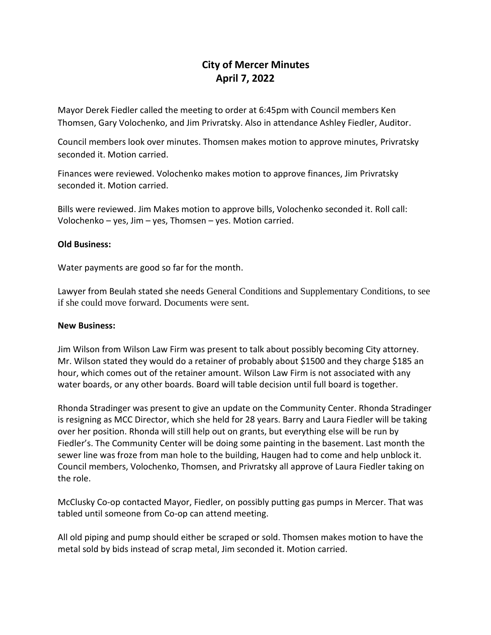## **City of Mercer Minutes April 7, 2022**

Mayor Derek Fiedler called the meeting to order at 6:45pm with Council members Ken Thomsen, Gary Volochenko, and Jim Privratsky. Also in attendance Ashley Fiedler, Auditor.

Council members look over minutes. Thomsen makes motion to approve minutes, Privratsky seconded it. Motion carried.

Finances were reviewed. Volochenko makes motion to approve finances, Jim Privratsky seconded it. Motion carried.

Bills were reviewed. Jim Makes motion to approve bills, Volochenko seconded it. Roll call: Volochenko – yes, Jim – yes, Thomsen – yes. Motion carried.

## **Old Business:**

Water payments are good so far for the month.

Lawyer from Beulah stated she needs General Conditions and Supplementary Conditions, to see if she could move forward. Documents were sent.

## **New Business:**

Jim Wilson from Wilson Law Firm was present to talk about possibly becoming City attorney. Mr. Wilson stated they would do a retainer of probably about \$1500 and they charge \$185 an hour, which comes out of the retainer amount. Wilson Law Firm is not associated with any water boards, or any other boards. Board will table decision until full board is together.

Rhonda Stradinger was present to give an update on the Community Center. Rhonda Stradinger is resigning as MCC Director, which she held for 28 years. Barry and Laura Fiedler will be taking over her position. Rhonda will still help out on grants, but everything else will be run by Fiedler's. The Community Center will be doing some painting in the basement. Last month the sewer line was froze from man hole to the building, Haugen had to come and help unblock it. Council members, Volochenko, Thomsen, and Privratsky all approve of Laura Fiedler taking on the role.

McClusky Co-op contacted Mayor, Fiedler, on possibly putting gas pumps in Mercer. That was tabled until someone from Co-op can attend meeting.

All old piping and pump should either be scraped or sold. Thomsen makes motion to have the metal sold by bids instead of scrap metal, Jim seconded it. Motion carried.